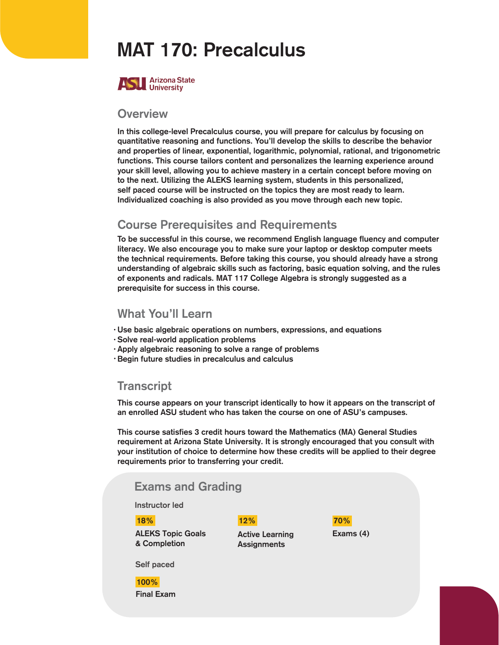## MAT 170: Precalculus



#### **Overview**

In this college-level Precalculus course, you will prepare for calculus by focusing on quantitative reasoning and functions. You'll develop the skills to describe the behavior and properties of linear, exponential, logarithmic, polynomial, rational, and trigonometric functions. This course tailors content and personalizes the learning experience around your skill level, allowing you to achieve mastery in a certain concept before moving on to the next. Utilizing the ALEKS learning system, students in this personalized, self paced course will be instructed on the topics they are most ready to learn. Individualized coaching is also provided as you move through each new topic.

### Course Prerequisites and Requirements

To be successful in this course, we recommend English language fluency and computer literacy. We also encourage you to make sure your laptop or desktop computer meets the technical requirements. Before taking this course, you should already have a strong understanding of algebraic skills such as factoring, basic equation solving, and the rules of exponents and radicals. MAT 117 College Algebra is strongly suggested as a prerequisite for success in this course.

#### What You'll Learn

- Use basic algebraic operations on numbers, expressions, and equations •
- Solve real-world application problems •
- · Apply algebraic reasoning to solve a range of problems
- Begin future studies in precalculus and calculus •

### **Transcript**

This course appears on your transcript identically to how it appears on the transcript of an enrolled ASU student who has taken the course on one of ASU's campuses.

This course satisfies 3 credit hours toward the Mathematics (MA) General Studies requirement at Arizona State University. It is strongly encouraged that you consult with your institution of choice to determine how these credits will be applied to their degree requirements prior to transferring your credit.